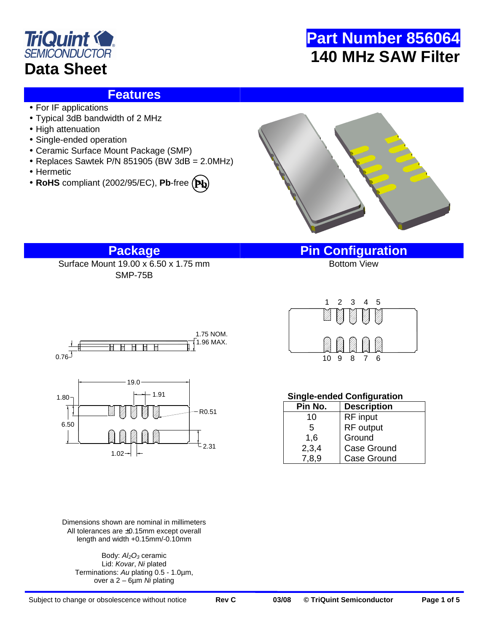

### **Features**

- For IF applications
- Typical 3dB bandwidth of 2 MHz
- High attenuation
- Single-ended operation
- Ceramic Surface Mount Package (SMP)
- Replaces Sawtek P/N 851905 (BW 3dB = 2.0MHz)
- Hermetic
- **RoHS** compliant (2002/95/EC), **Pb**-free **Pb**



## **Package Pin Configuration**

Surface Mount  $19.00 \times 6.50 \times 1.75$  mm SMP-75B





10 9 8 7 6 1 2 3 4 5

### **Single-ended Configuration**

| Pin No. | <b>Description</b> |  |
|---------|--------------------|--|
| 10      | RF input           |  |
| 5       | RF output          |  |
| 1,6     | Ground             |  |
| 2,3,4   | Case Ground        |  |
| 7,8,9   | <b>Case Ground</b> |  |

Dimensions shown are nominal in millimeters All tolerances are ±0.15mm except overall length and width +0.15mm/-0.10mm

 $1.02 - 1$ 

Body: Al<sub>2</sub>O<sub>3</sub> ceramic Lid: Kovar, Ni plated Terminations: Au plating 0.5 - 1.0µm, over a  $2 - 6\mu m$  Ni plating

2.31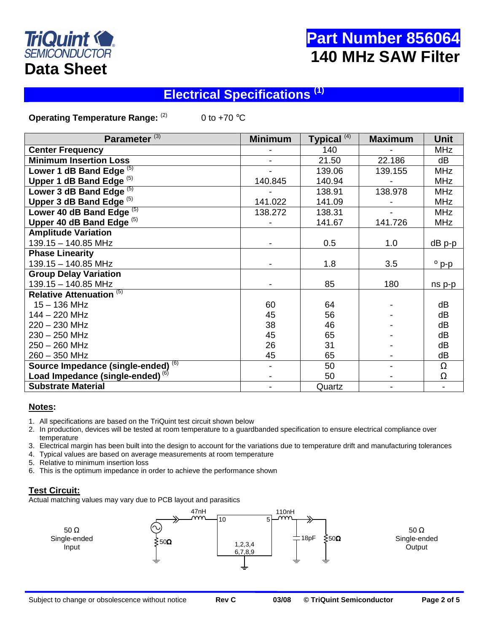

## **Electrical Specifications (1)**

**Operating Temperature Range:** <sup>(2)</sup> 0 to +70 °C

| Parameter <sup>(3)</sup>                     | <b>Minimum</b> | Typical <sup>(4)</sup> | <b>Maximum</b> | <b>Unit</b>    |
|----------------------------------------------|----------------|------------------------|----------------|----------------|
| <b>Center Frequency</b>                      |                | 140                    |                | <b>MHz</b>     |
| <b>Minimum Insertion Loss</b>                |                | 21.50                  | 22.186         | dB             |
| Lower 1 dB Band Edge (5)                     |                | 139.06                 | 139.155        | <b>MHz</b>     |
| Upper 1 dB Band Edge <sup>(5)</sup>          | 140.845        | 140.94                 |                | <b>MHz</b>     |
| Lower 3 dB Band Edge <sup>(5)</sup>          |                | 138.91                 | 138.978        | <b>MHz</b>     |
| Upper 3 dB Band Edge $(5)$                   | 141.022        | 141.09                 |                | <b>MHz</b>     |
| Lower 40 dB Band Edge <sup>(5)</sup>         | 138.272        | 138.31                 |                | <b>MHz</b>     |
| Upper 40 dB Band Edge <sup>(5)</sup>         |                | 141.67                 | 141.726        | <b>MHz</b>     |
| <b>Amplitude Variation</b>                   |                |                        |                |                |
| 139.15 - 140.85 MHz                          |                | 0.5                    | 1.0            | $dB$ p-p       |
| <b>Phase Linearity</b>                       |                |                        |                |                |
| 139.15 - 140.85 MHz                          |                | 1.8                    | 3.5            | $^{\circ}$ p-p |
| <b>Group Delay Variation</b>                 |                |                        |                |                |
| 139.15 - 140.85 MHz                          |                | 85                     | 180            | ns p-p         |
| <b>Relative Attenuation (5)</b>              |                |                        |                |                |
| $15 - 136$ MHz                               | 60             | 64                     |                | dB             |
| 144 - 220 MHz                                | 45             | 56                     |                | dB             |
| $220 - 230$ MHz                              | 38             | 46                     |                | dB             |
| $230 - 250$ MHz                              | 45             | 65                     |                | dB             |
| $250 - 260$ MHz                              | 26             | 31                     |                | dB             |
| 260 - 350 MHz                                | 45             | 65                     |                | dB             |
| Source Impedance (single-ended) (6)          |                | 50                     |                | $\Omega$       |
| Load Impedance (single-ended) <sup>(6)</sup> |                | 50                     |                | Ω              |
| <b>Substrate Material</b>                    |                | Quartz                 |                |                |

#### **Notes:**

- 1. All specifications are based on the TriQuint test circuit shown below
- 2. In production, devices will be tested at room temperature to a guardbanded specification to ensure electrical compliance over temperature
- 3. Electrical margin has been built into the design to account for the variations due to temperature drift and manufacturing tolerances
- 4. Typical values are based on average measurements at room temperature
- 5. Relative to minimum insertion loss
- 6. This is the optimum impedance in order to achieve the performance shown

#### **Test Circuit:**

Actual matching values may vary due to PCB layout and parasitics

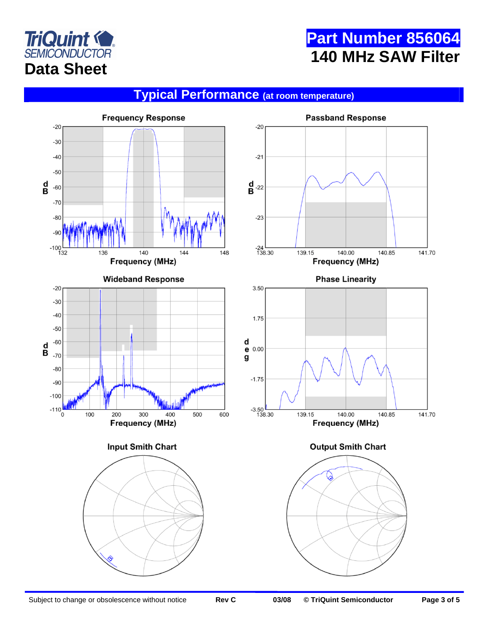

## **Typical Performance (at room temperature)**

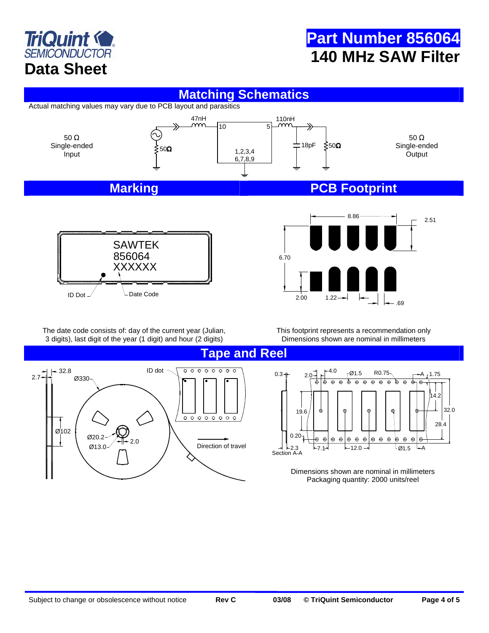

### **Matching Schematics**

Actual matching values may vary due to PCB layout and parasitics





6.70  $\epsilon$  $2.00$ 

The date code consists of: day of the current year (Julian, 3 digits), last digit of the year (1 digit) and hour (2 digits)

This footprint represents a recommendation only Dimensions shown are nominal in millimeters

**Tape and Reel** 



0.3  $+$  2.0  $+$   $+$   $+$  4.0 Ø1.5 R0.75 A  $\overline{\Theta}$ 14.2 32.0 19.6 28.4  $0.20 \odot$  $\Theta$  $\oplus$  $\boldsymbol{\Theta}$  $\boldsymbol{\Theta}$ Θ  $\Theta$  $\ddot{r}$  $\odot$  $\oplus$  $\Theta$  $\epsilon$ lə,  $-2.3$   $-7.1$   $-12.0$  $-7.1$  $\mathsf{I}\,$ Ø1.5 A Section A-A

> Dimensions shown are nominal in millimeters Packaging quantity: 2000 units/reel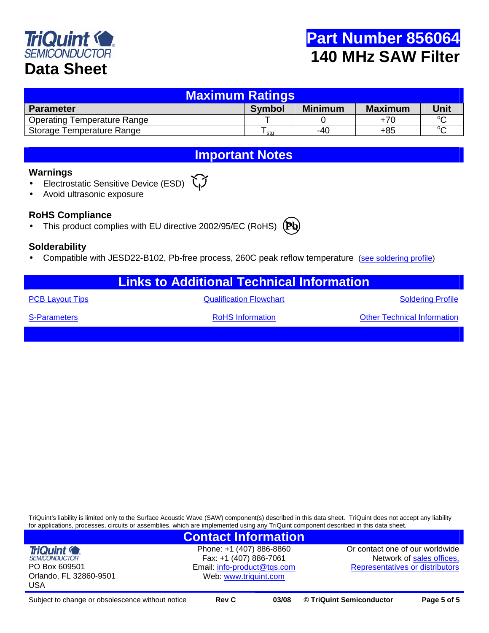

| <b>Maximum Ratings</b>             |               |                |                |             |  |  |
|------------------------------------|---------------|----------------|----------------|-------------|--|--|
| <b>Parameter</b>                   | <b>Symbol</b> | <b>Minimum</b> | <b>Maximum</b> | <b>Unit</b> |  |  |
| <b>Operating Temperature Range</b> |               |                | $+70$          | $\sim$      |  |  |
| Storage Temperature Range          | sta           | -40            | $+85$          | $\circ$     |  |  |

**Important Notes** 

#### **Warnings**

- Electrostatic Sensitive Device (ESD)
- Avoid ultrasonic exposure

#### **RoHS Compliance**

• This product complies with EU directive 2002/95/EC (RoHS)



#### **Solderability**

Compatible with JESD22-B102, Pb-free process, 260C peak reflow temperature (see soldering profile)

| <b>Links to Additional Technical Information</b> |                                |                                    |  |  |  |
|--------------------------------------------------|--------------------------------|------------------------------------|--|--|--|
| <b>PCB Layout Tips</b>                           | <b>Qualification Flowchart</b> | <b>Soldering Profile</b>           |  |  |  |
| <b>S-Parameters</b>                              | <b>RoHS</b> Information        | <b>Other Technical Information</b> |  |  |  |
|                                                  |                                |                                    |  |  |  |

TriQuint's liability is limited only to the Surface Acoustic Wave (SAW) component(s) described in this data sheet. TriQuint does not accept any liability for applications, processes, circuits or assemblies, which are implemented using any TriQuint component described in this data sheet.

### **Contact Information**

**TriQuint (C) SEMICONDUCTOR** PO Box 609501 Orlando, FL 32860-9501 USA

Phone: +1 (407) 886-8860 Fax: +1 (407) 886-7061 Email: info-product@tqs.com Web: www.triquint.com

Or contact one of our worldwide Network of sales offices, Representatives or distributors

Subject to change or obsolescence without notice **Rev C 03/08 © TriQuint Semiconductor Page 5 of 5**